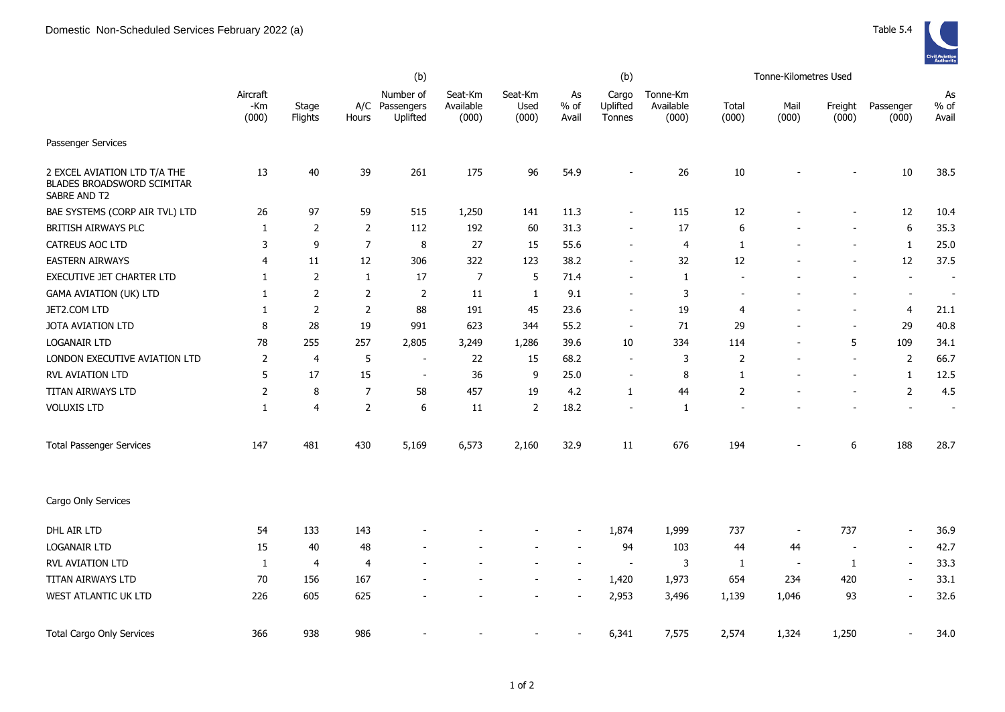|                                                                                   | (b)                      |                  |                |                                         |                               |                          |                          | (b)                         |                                |                          | Tonne-Kilometres Used |                  |                          |                          |
|-----------------------------------------------------------------------------------|--------------------------|------------------|----------------|-----------------------------------------|-------------------------------|--------------------------|--------------------------|-----------------------------|--------------------------------|--------------------------|-----------------------|------------------|--------------------------|--------------------------|
|                                                                                   | Aircraft<br>-Km<br>(000) | Stage<br>Flights | Hours          | Number of<br>A/C Passengers<br>Uplifted | Seat-Km<br>Available<br>(000) | Seat-Km<br>Used<br>(000) | As<br>% of<br>Avail      | Cargo<br>Uplifted<br>Tonnes | Tonne-Km<br>Available<br>(000) | Total<br>(000)           | Mail<br>(000)         | Freight<br>(000) | Passenger<br>(000)       | As<br>$%$ of<br>Avail    |
| Passenger Services                                                                |                          |                  |                |                                         |                               |                          |                          |                             |                                |                          |                       |                  |                          |                          |
| 2 EXCEL AVIATION LTD T/A THE<br><b>BLADES BROADSWORD SCIMITAR</b><br>SABRE AND T2 | 13                       | 40               | 39             | 261                                     | 175                           | 96                       | 54.9                     | $\overline{a}$              | 26                             | 10                       |                       |                  | $10\,$                   | 38.5                     |
| BAE SYSTEMS (CORP AIR TVL) LTD                                                    | 26                       | 97               | 59             | 515                                     | 1,250                         | 141                      | 11.3                     | $\overline{\phantom{a}}$    | 115                            | 12                       |                       |                  | 12                       | 10.4                     |
| BRITISH AIRWAYS PLC                                                               | $\mathbf{1}$             | 2                | 2              | 112                                     | 192                           | 60                       | 31.3                     | $\overline{\phantom{a}}$    | 17                             | 6                        |                       |                  | 6                        | 35.3                     |
| <b>CATREUS AOC LTD</b>                                                            | 3                        | 9                | $\overline{7}$ | 8                                       | 27                            | 15                       | 55.6                     | $\overline{\phantom{a}}$    | $\overline{4}$                 | 1                        |                       |                  | $\mathbf{1}$             | 25.0                     |
| <b>EASTERN AIRWAYS</b>                                                            | 4                        | 11               | 12             | 306                                     | 322                           | 123                      | 38.2                     | $\overline{\phantom{a}}$    | 32                             | 12                       |                       |                  | 12                       | 37.5                     |
| EXECUTIVE JET CHARTER LTD                                                         | 1                        | 2                | 1              | 17                                      | 7                             | 5                        | 71.4                     | $\overline{\phantom{a}}$    | 1                              |                          |                       |                  | $\overline{\phantom{a}}$ | $\overline{\phantom{a}}$ |
| <b>GAMA AVIATION (UK) LTD</b>                                                     | 1                        | 2                | $\overline{2}$ | 2                                       | 11                            | 1                        | 9.1                      | $\sim$                      | 3                              | $\overline{\phantom{a}}$ |                       |                  | $\overline{\phantom{a}}$ | $\overline{\phantom{a}}$ |
| JET2.COM LTD                                                                      | 1                        | 2                | $\overline{2}$ | 88                                      | 191                           | 45                       | 23.6                     | $\overline{\phantom{a}}$    | 19                             | $\overline{4}$           |                       |                  | 4                        | 21.1                     |
| <b>JOTA AVIATION LTD</b>                                                          | 8                        | 28               | 19             | 991                                     | 623                           | 344                      | 55.2                     | $\overline{\phantom{a}}$    | 71                             | 29                       |                       |                  | 29                       | 40.8                     |
| LOGANAIR LTD                                                                      | 78                       | 255              | 257            | 2,805                                   | 3,249                         | 1,286                    | 39.6                     | 10                          | 334                            | 114                      |                       | 5                | 109                      | 34.1                     |
| LONDON EXECUTIVE AVIATION LTD                                                     | $\overline{2}$           | 4                | 5              | $\overline{\phantom{a}}$                | 22                            | 15                       | 68.2                     | $\overline{\phantom{a}}$    | 3                              | $\overline{2}$           |                       |                  | $\overline{2}$           | 66.7                     |
| RVL AVIATION LTD                                                                  | 5                        | 17               | 15             | $\overline{\phantom{a}}$                | 36                            | 9                        | 25.0                     | $\overline{\phantom{a}}$    | 8                              | 1                        |                       |                  | 1                        | 12.5                     |
| TITAN AIRWAYS LTD                                                                 | 2                        | 8                | $\overline{7}$ | 58                                      | 457                           | 19                       | 4.2                      | $\mathbf{1}$                | 44                             | $\overline{2}$           |                       |                  | $\overline{2}$           | 4.5                      |
| <b>VOLUXIS LTD</b>                                                                | 1                        | 4                | 2              | 6                                       | 11                            | 2                        | 18.2                     | $\overline{\phantom{a}}$    | 1                              |                          |                       |                  | $\overline{\phantom{a}}$ | $\overline{\phantom{a}}$ |
| <b>Total Passenger Services</b>                                                   | 147                      | 481              | 430            | 5,169                                   | 6,573                         | 2,160                    | 32.9                     | 11                          | 676                            | 194                      |                       | 6                | 188                      | 28.7                     |
| Cargo Only Services                                                               |                          |                  |                |                                         |                               |                          |                          |                             |                                |                          |                       |                  |                          |                          |
| DHL AIR LTD                                                                       | 54                       | 133              | 143            |                                         |                               |                          |                          | 1,874                       | 1,999                          | 737                      |                       | 737              | $\overline{\phantom{a}}$ | 36.9                     |
| <b>LOGANAIR LTD</b>                                                               | 15                       | 40               | 48             |                                         |                               |                          | $\overline{\phantom{a}}$ | 94                          | 103                            | 44                       | 44                    |                  | $\overline{\phantom{a}}$ | 42.7                     |
| RVL AVIATION LTD                                                                  | 1                        | 4                | $\overline{4}$ |                                         |                               |                          | $\blacksquare$           | $\blacksquare$              | 3                              | $\mathbf{1}$             | $\sim$                | 1                | $\overline{\phantom{a}}$ | 33.3                     |
| TITAN AIRWAYS LTD                                                                 | 70                       | 156              | 167            |                                         |                               |                          | $\blacksquare$           | 1,420                       | 1,973                          | 654                      | 234                   | 420              | $\overline{\phantom{a}}$ | 33.1                     |
| WEST ATLANTIC UK LTD                                                              | 226                      | 605              | 625            |                                         |                               |                          | $\overline{\phantom{a}}$ | 2,953                       | 3,496                          | 1,139                    | 1,046                 | 93               | $\blacksquare$           | 32.6                     |
| <b>Total Cargo Only Services</b>                                                  | 366                      | 938              | 986            |                                         |                               |                          |                          | 6,341                       | 7,575                          | 2,574                    | 1,324                 | 1,250            |                          | 34.0                     |